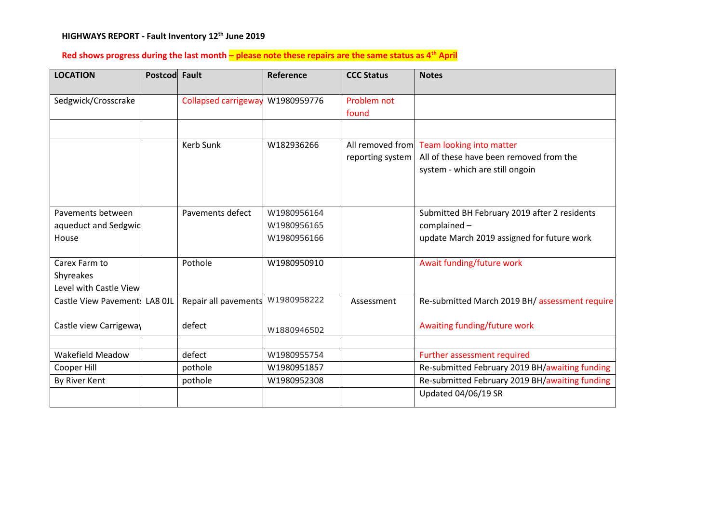#### **HIGHWAYS REPORT - Fault Inventory 12 th June 2019**

# **Red shows progress during the last month – please note these repairs are the same status as 4th April**

| <b>LOCATION</b>               | Postcod Fault |                             | Reference   | <b>CCC Status</b>    | <b>Notes</b>                                   |
|-------------------------------|---------------|-----------------------------|-------------|----------------------|------------------------------------------------|
| Sedgwick/Crosscrake           |               | <b>Collapsed carrigeway</b> | W1980959776 | Problem not<br>found |                                                |
|                               |               |                             |             |                      |                                                |
|                               |               | Kerb Sunk                   | W182936266  |                      | All removed from Team looking into matter      |
|                               |               |                             |             | reporting system     | All of these have been removed from the        |
|                               |               |                             |             |                      | system - which are still ongoin                |
|                               |               |                             |             |                      |                                                |
|                               |               |                             |             |                      |                                                |
| Pavements between             |               | Pavements defect            | W1980956164 |                      | Submitted BH February 2019 after 2 residents   |
| aqueduct and Sedgwic          |               |                             | W1980956165 |                      | complained-                                    |
| House                         |               |                             | W1980956166 |                      | update March 2019 assigned for future work     |
|                               |               |                             |             |                      |                                                |
| Carex Farm to                 |               | Pothole                     | W1980950910 |                      | Await funding/future work                      |
| Shyreakes                     |               |                             |             |                      |                                                |
| Level with Castle View        |               |                             |             |                      |                                                |
| Castle View Pavement: LA8 OJL |               | Repair all pavements        | W1980958222 | Assessment           | Re-submitted March 2019 BH/ assessment require |
|                               |               |                             |             |                      |                                                |
| Castle view Carrigeway        |               | defect                      | W1880946502 |                      | Awaiting funding/future work                   |
|                               |               |                             |             |                      |                                                |
| <b>Wakefield Meadow</b>       |               | defect                      | W1980955754 |                      | Further assessment required                    |
| Cooper Hill                   |               | pothole                     | W1980951857 |                      | Re-submitted February 2019 BH/awaiting funding |
| By River Kent                 |               | pothole                     | W1980952308 |                      | Re-submitted February 2019 BH/awaiting funding |
|                               |               |                             |             |                      | Updated 04/06/19 SR                            |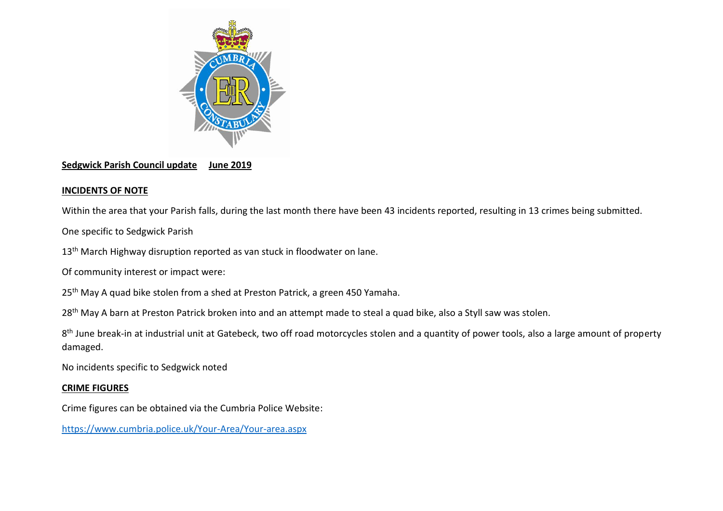

### **Sedgwick Parish Council update June 2019**

## **INCIDENTS OF NOTE**

Within the area that your Parish falls, during the last month there have been 43 incidents reported, resulting in 13 crimes being submitted.

One specific to Sedgwick Parish

13<sup>th</sup> March Highway disruption reported as van stuck in floodwater on lane.

Of community interest or impact were:

25<sup>th</sup> May A quad bike stolen from a shed at Preston Patrick, a green 450 Yamaha.

28<sup>th</sup> May A barn at Preston Patrick broken into and an attempt made to steal a quad bike, also a Styll saw was stolen.

8<sup>th</sup> June break-in at industrial unit at Gatebeck, two off road motorcycles stolen and a quantity of power tools, also a large amount of property damaged.

No incidents specific to Sedgwick noted

### **CRIME FIGURES**

Crime figures can be obtained via the Cumbria Police Website:

<https://www.cumbria.police.uk/Your-Area/Your-area.aspx>